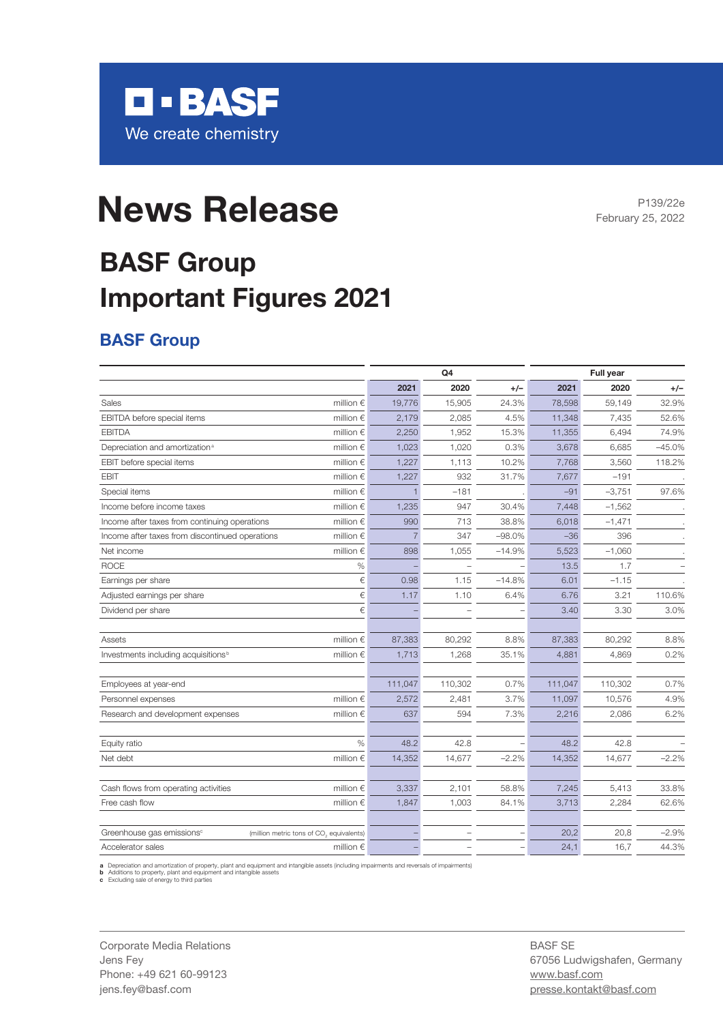

# **News Release**

P139/22e February 25, 2022

## **BASF Group Important Figures 2021**

#### **BASF Group**

|                                                 |                                          | Q <sub>4</sub> |                |          | <b>Full year</b> |          |          |  |
|-------------------------------------------------|------------------------------------------|----------------|----------------|----------|------------------|----------|----------|--|
|                                                 |                                          | 2021           | 2020           | $+/-$    | 2021             | 2020     | $+/-$    |  |
| Sales                                           | million $\epsilon$                       | 19,776         | 15,905         | 24.3%    | 78,598           | 59,149   | 32.9%    |  |
| EBITDA before special items                     | million $\epsilon$                       | 2,179          | 2,085          | 4.5%     | 11,348           | 7,435    | 52.6%    |  |
| <b>EBITDA</b>                                   | million $\in$                            | 2,250          | 1,952          | 15.3%    | 11,355           | 6,494    | 74.9%    |  |
| Depreciation and amortization <sup>a</sup>      | million $\epsilon$                       | 1,023          | 1,020          | 0.3%     | 3,678            | 6,685    | $-45.0%$ |  |
| EBIT before special items                       | million $\epsilon$                       | 1,227          | 1,113          | 10.2%    | 7,768            | 3,560    | 118.2%   |  |
| <b>EBIT</b>                                     | million $\epsilon$                       | 1,227          | 932            | 31.7%    | 7,677            | $-191$   |          |  |
| Special items                                   | million $\epsilon$                       |                | $-181$         |          | $-91$            | $-3,751$ | 97.6%    |  |
| Income before income taxes                      | million $\epsilon$                       | 1,235          | 947            | 30.4%    | 7,448            | $-1,562$ |          |  |
| Income after taxes from continuing operations   | million $\epsilon$                       | 990            | 713            | 38.8%    | 6,018            | $-1,471$ |          |  |
| Income after taxes from discontinued operations | million $\epsilon$                       | 7              | 347            | $-98.0%$ | $-36$            | 396      |          |  |
| Net income                                      | million $\epsilon$                       | 898            | 1,055          | $-14.9%$ | 5,523            | $-1,060$ |          |  |
| <b>ROCE</b>                                     | $\%$                                     |                | $\overline{a}$ |          | 13.5             | 1.7      |          |  |
| Earnings per share                              | €                                        | 0.98           | 1.15           | $-14.8%$ | 6.01             | $-1.15$  |          |  |
| Adjusted earnings per share                     | €                                        | 1.17           | 1.10           | 6.4%     | 6.76             | 3.21     | 110.6%   |  |
| Dividend per share                              | €                                        |                |                |          | 3.40             | 3.30     | 3.0%     |  |
| Assets                                          | million $\epsilon$                       | 87,383         | 80,292         | 8.8%     | 87,383           | 80,292   | 8.8%     |  |
| Investments including acquisitions <sup>b</sup> | million $\epsilon$                       | 1,713          | 1,268          | 35.1%    | 4,881            | 4,869    | 0.2%     |  |
| Employees at year-end                           |                                          | 111,047        | 110,302        | 0.7%     | 111,047          | 110,302  | 0.7%     |  |
| Personnel expenses                              | million $\epsilon$                       | 2,572          | 2,481          | 3.7%     | 11,097           | 10,576   | 4.9%     |  |
| Research and development expenses               | million $\epsilon$                       | 637            | 594            | 7.3%     | 2,216            | 2,086    | 6.2%     |  |
| Equity ratio                                    | $\%$                                     | 48.2           | 42.8           |          | 48.2             | 42.8     |          |  |
| Net debt                                        | million $\epsilon$                       | 14,352         | 14,677         | $-2.2%$  | 14,352           | 14,677   | $-2.2%$  |  |
| Cash flows from operating activities            | million $\epsilon$                       | 3,337          | 2,101          | 58.8%    | 7,245            | 5,413    | 33.8%    |  |
| Free cash flow                                  | million $\epsilon$                       | 1,847          | 1,003          | 84.1%    | 3,713            | 2,284    | 62.6%    |  |
| Greenhouse gas emissions <sup>c</sup>           | (million metric tons of CO, equivalents) |                |                |          | 20,2             | 20,8     | $-2.9%$  |  |
| Accelerator sales                               | million $\epsilon$                       |                |                |          | 24,1             | 16,7     | 44.3%    |  |
|                                                 |                                          |                |                |          |                  |          |          |  |

a Depreciation and amortization of property, plant and equipment and intangible assets (including impairments and reversals of impairments)<br>b Additions to property, plant and equipment and intangible assets<br>c Excluding sal

Corporate Media Relations Jens Fey Phone: +49 621 60-99123 jens.fey@basf.com

BASF SE 67056 Ludwigshafen, Germany www.basf.com presse.kontakt@basf.com